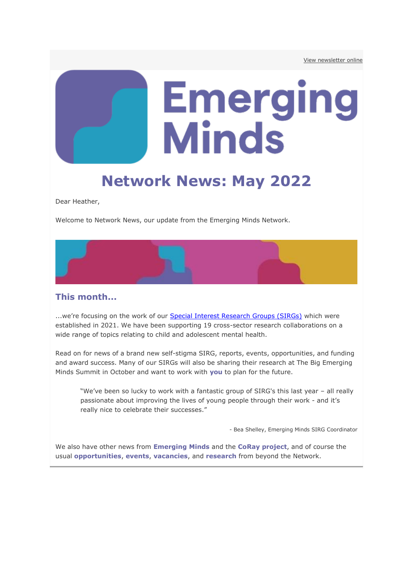# **Emerging<br>Minds**

# **Network News: May 2022**

Dear Heather,

Welcome to Network News, our update from the Emerging Minds Network.

#### **This month...**

...we're focusing on the work of our **[Special Interest Research Groups \(SIRGs\)](http://medsci.msgfocus.com/c/13rI3eLkUya7Lr1UkjIT7Vl6W)** which were established in 2021. We have been supporting 19 cross-sector research collaborations on a wide range of topics relating to child and adolescent mental health.

Read on for news of a brand new self-stigma SIRG, reports, events, opportunities, and funding and award success. Many of our SIRGs will also be sharing their research at The Big Emerging Minds Summit in October and want to work with **you** to plan for the future.

"We've been so lucky to work with a fantastic group of SIRG's this last year – all really passionate about improving the lives of young people through their work - and it's really nice to celebrate their successes."

- Bea Shelley, Emerging Minds SIRG Coordinator

We also have other news from **Emerging Minds** and the **CoRay project**, and of course the usual **opportunities**, **events**, **vacancies**, and **research** from beyond the Network.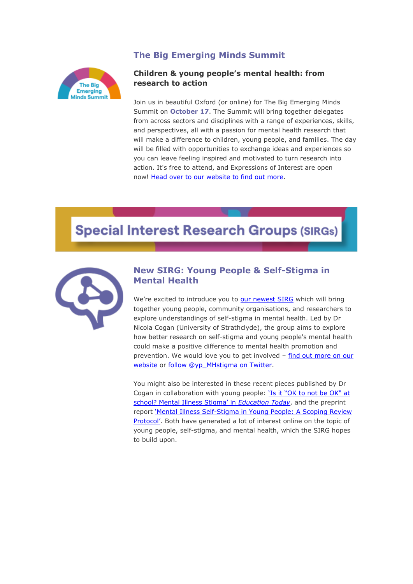# **The Big Emerging Minds Summit**



#### **Children & young people's mental health: from research to action**

Join us in beautiful Oxford (or online) for The Big Emerging Minds Summit on **October 17**. The Summit will bring together delegates from across sectors and disciplines with a range of experiences, skills, and perspectives, all with a passion for mental health research that will make a difference to children, young people, and families. The day will be filled with opportunities to exchange ideas and experiences so you can leave feeling inspired and motivated to turn research into action. It's free to attend, and Expressions of Interest are open now! [Head over to our website to find out more.](http://medsci.msgfocus.com/c/13rI3BfsuNyCLfDVpbFsV6ud5)

# **Special Interest Research Groups (SIRGs)**



#### **New SIRG: Young People & Self-Stigma in Mental Health**

We're excited to introduce you to [our newest SIRG](http://medsci.msgfocus.com/c/13rI3XJA52X7L4fWu3C2IhDje) which will bring together young people, community organisations, and researchers to explore understandings of self-stigma in mental health. Led by Dr Nicola Cogan (University of Strathclyde), the group aims to explore how better research on self-stigma and young people's mental health could make a positive difference to mental health promotion and prevention. We would love you to get involved – [find out more on our](http://medsci.msgfocus.com/c/13rI4kdHFilCKSRXyVyCvsMpn)  [website](http://medsci.msgfocus.com/c/13rI4kdHFilCKSRXyVyCvsMpn) or [follow @yp\\_MHstigma on Twitter.](http://medsci.msgfocus.com/c/13rI4GHPfxK7KHtYDNvciDVvw)

You might also be interested in these recent pieces published by Dr Cogan in collaboration with young people: ['Is it "OK to not be OK" at](http://medsci.msgfocus.com/c/13rI53bWPN8CKw5ZIFrM5P4BF)  [school? Mental Illness Stigma' in](http://medsci.msgfocus.com/c/13rI53bWPN8CKw5ZIFrM5P4BF) *Education Today*, and the preprint report 'Mental Illness Self-Stigma in Young People: A Scoping Review [Protocol'](http://medsci.msgfocus.com/c/13rI5pG4q2x7KkI0NxolT0dHO). Both have generated a lot of interest online on the topic of young people, self-stigma, and mental health, which the SIRG hopes to build upon.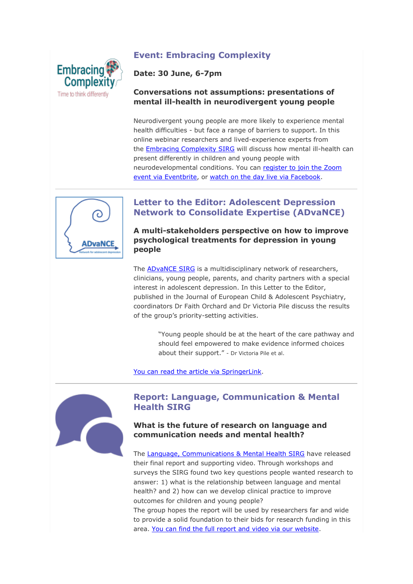# **Event: Embracing Complexity**



# **Date: 30 June, 6-7pm**

#### **Conversations not assumptions: presentations of mental ill-health in neurodivergent young people**

Neurodivergent young people are more likely to experience mental health difficulties - but face a range of barriers to support. In this online webinar researchers and lived-experience experts from the [Embracing Complexity SIRG](http://medsci.msgfocus.com/c/13rI5Mac0hVCK9k1SpkVGbmNX) will discuss how mental ill-health can present differently in children and young people with neurodevelopmental conditions. You can [register to join the Zoom](http://medsci.msgfocus.com/c/13rI6v8raMICJMy429e5gxF0f)  [event via Eventbrite,](http://medsci.msgfocus.com/c/13rI6v8raMICJMy429e5gxF0f) or [watch on the day live via Facebook.](http://medsci.msgfocus.com/c/13rI6RCyL277JBa571aF3IO6o)



# **Letter to the Editor: Adolescent Depression Network to Consolidate Expertise (ADvaNCE)**

**A multi-stakeholders perspective on how to improve psychological treatments for depression in young people**

The [ADvaNCE SIRG](http://medsci.msgfocus.com/c/13rI7e6GlhvCJpM6bT7eQTXcx) is a multidisciplinary network of researchers, clinicians, young people, parents, and charity partners with a special interest in adolescent depression. In this Letter to the Editor, published in the Journal of European Child & Adolescent Psychiatry, coordinators Dr Faith Orchard and Dr Victoria Pile discuss the results of the group's priority-setting activities.

> "Young people should be at the heart of the care pathway and should feel empowered to make evidence informed choices about their support." - Dr Victoria Pile et al.

[You can read the article via SpringerLink.](http://medsci.msgfocus.com/c/13rI7AANVwU7Jeo7gL3OE56iG)



# **Report: Language, Communication & Mental Health SIRG**

#### **What is the future of research on language and communication needs and mental health?**

The [Language, Communications & Mental Health SIRG](http://medsci.msgfocus.com/c/13rI7X4VvMiCJ308lD0orgfoP) have released their final report and supporting video. Through workshops and surveys the SIRG found two key questions people wanted research to answer: 1) what is the relationship between language and mental health? and 2) how can we develop clinical practice to improve outcomes for children and young people?

The group hopes the report will be used by researchers far and wide to provide a solid foundation to their bids for research funding in this area. [You can find the full report and video via our website.](http://medsci.msgfocus.com/c/13rI8jz361H7IRC9quWYerouY)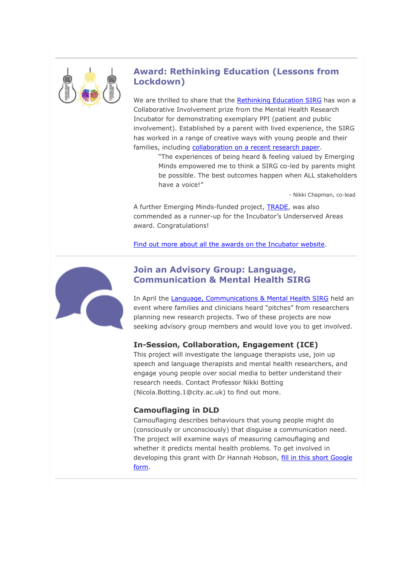

# **Award: Rethinking Education (Lessons from Lockdown)**

We are thrilled to share that the [Rethinking Education SIRG](http://medsci.msgfocus.com/c/13rI8G3aGh5CIGeavmTy1CxB7) has won a Collaborative Involvement prize from the Mental Health Research Incubator for demonstrating exemplary PPI (patient and public involvement). Established by a parent with lived experience, the SIRG has worked in a range of creative ways with young people and their families, including [collaboration on a recent research paper.](http://medsci.msgfocus.com/c/13rI92xigwu7IuQbAeQ7ONGHg)

> "The experiences of being heard & feeling valued by Emerging Minds empowered me to think a SIRG co-led by parents might be possible. The best outcomes happen when ALL stakeholders have a voice!"

> > - Nikki Chapman, co-lead

A further Emerging Minds-funded project, **TRADE**, was also commended as a runner-up for the Incubator's Underserved Areas award. Congratulations!

[Find out more about all the awards on the Incubator website.](http://medsci.msgfocus.com/c/13rI9Lvxr1h7I84dJYJhp9YTy)



# **Join an Advisory Group: Language, Communication & Mental Health SIRG**

In April the [Language, Communications & Mental Health SIRG](http://medsci.msgfocus.com/c/13rIautMBw47HLifTICqZwh5Q) held an event where families and clinicians heard "pitches" from researchers planning new research projects. Two of these projects are now seeking advisory group members and would love you to get involved.

# **In-Session, Collaboration, Engagement (ICE)**

This project will investigate the language therapists use, join up speech and language therapists and mental health researchers, and engage young people over social media to better understand their research needs. Contact Professor Nikki Botting (Nicola.Botting.1@city.ac.uk) to find out more.

# **Camouflaging in DLD**

Camouflaging describes behaviours that young people might do (consciously or unconsciously) that disguise a communication need. The project will examine ways of measuring camouflaging and whether it predicts mental health problems. To get involved in developing this grant with Dr Hannah Hobson, fill in this short Google [form.](http://medsci.msgfocus.com/c/13rIaQXUbLsCHzUgYAz0MHqbZ)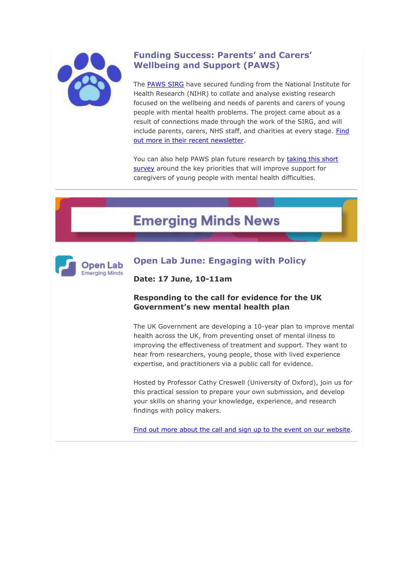

# **Funding Success: Parents' and Carers' Wellbeing and Support (PAWS)**

The [PAWS SIRG](http://medsci.msgfocus.com/c/13rIbds1M0R7Howi3svAzSzi8) have secured funding from the National Institute for Health Research (NIHR) to collate and analyse existing research focused on the wellbeing and needs of parents and carers of young people with mental health problems. The project came about as a result of connections made through the work of the SIRG, and will include parents, carers, NHS staff, and charities at every stage. [Find](http://medsci.msgfocus.com/c/13rIbzW9mgfCHd8j8ksan3Ioh)  [out more in their recent newsletter.](http://medsci.msgfocus.com/c/13rIbzW9mgfCHd8j8ksan3Ioh)

You can also help PAWS plan future research by taking this short [survey](http://medsci.msgfocus.com/c/13rIbWqgWvE7H1KkdcoKaeRuq) around the key priorities that will improve support for caregivers of young people with mental health difficulties.

# **Emerging Minds News**



# **Open Lab June: Engaging with Policy**

**Date: 17 June, 10-11am**

#### **Responding to the call for evidence for the UK Government's new mental health plan**

The UK Government are developing a 10-year plan to improve mental health across the UK, from preventing onset of mental illness to improving the effectiveness of treatment and support. They want to hear from researchers, young people, those with lived experience expertise, and practitioners via a public call for evidence.

Hosted by Professor Cathy Creswell (University of Oxford), join us for this practical session to prepare your own submission, and develop your skills on sharing your knowledge, experience, and research findings with policy makers.

[Find out more about the call and sign up to the event on our website.](http://medsci.msgfocus.com/c/13rIciUowL2CGQmli4ljXq0Az)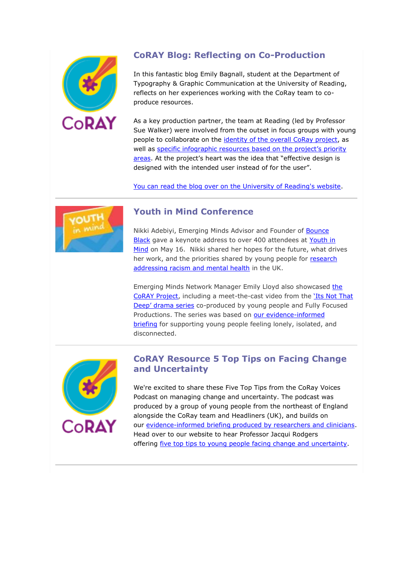

# **CoRAY Blog: Reflecting on Co-Production**

In this fantastic blog Emily Bagnall, student at the Department of Typography & Graphic Communication at the University of Reading, reflects on her experiences working with the CoRay team to coproduce resources.

As a key production partner, the team at Reading (led by Professor Sue Walker) were involved from the outset in focus groups with young people to collaborate on the [identity of the overall CoRay project,](http://medsci.msgfocus.com/c/13rIcFow70r7GEYmmWhTKB9GI) as well as [specific infographic resources based on the project's priority](http://medsci.msgfocus.com/c/13rId1SDHfPCGtAnrOetxMiMR)  [areas](http://medsci.msgfocus.com/c/13rId1SDHfPCGtAnrOetxMiMR). At the project's heart was the idea that "effective design is designed with the intended user instead of for the user".

[You can read the blog over on the University of Reading's website.](http://medsci.msgfocus.com/c/13rIdomLhve7GicowGb3kXrT0)



# **Youth in Mind Conference**

Nikki Adebiyi, Emerging Minds Advisor and Founder of **Bounce** [Black](http://medsci.msgfocus.com/c/13rIdKQSRKCCG6OpBy7D88AZ9) gave a keynote address to over 400 attendees at [Youth in](http://medsci.msgfocus.com/c/13rIetP82fpCFK2rLi0MIuTbr)  [Mind](http://medsci.msgfocus.com/c/13rIetP82fpCFK2rLi0MIuTbr) on May 16. Nikki shared her hopes for the future, what drives her work, and the priorities shared by young people for research [addressing racism and mental health](http://medsci.msgfocus.com/c/13rIeQjfCuO7FyEsQ9XmvG2hA) in the UK.

Emerging Minds Network Manager Emily Lloyd also showcased the [CoRAY Project,](http://medsci.msgfocus.com/c/13rIfcNncKcCFngtV1TWiRbnJ) including a meet-the-cast video from the ['Its Not That](http://medsci.msgfocus.com/c/13rIfzhuMZB7FbSuZTQw62ktS)  [Deep' drama series](http://medsci.msgfocus.com/c/13rIfzhuMZB7FbSuZTQw62ktS) co-produced by young people and Fully Focused Productions. The series was based on our evidence-informed [briefing](http://medsci.msgfocus.com/c/13rIfVLCneZCF0uw4LN5TdtA1) for supporting young people feeling lonely, isolated, and disconnected.



# **CoRAY Resource 5 Top Tips on Facing Change and Uncertainty**

We're excited to share these Five Top Tips from the CoRay Voices Podcast on managing change and uncertainty. The podcast was produced by a group of young people from the northeast of England alongside the CoRay team and Headliners (UK), and builds on our [evidence-informed briefing produced by researchers and clinicians.](http://medsci.msgfocus.com/c/13rIgifJXuo7EP6x9DJFGoCGa) Head over to our website to hear Professor Jacqui Rodgers offering [five top tips to young people facing change and uncertainty.](http://medsci.msgfocus.com/c/13rIgEJRxJMCEDIyevGftzLMj)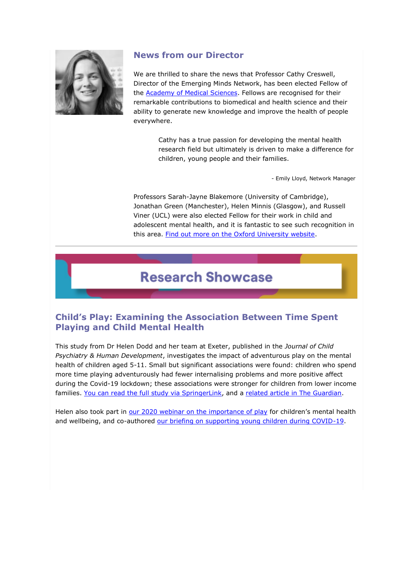

# **News from our Director**

We are thrilled to share the news that Professor Cathy Creswell, Director of the Emerging Minds Network, has been elected Fellow of the [Academy of Medical Sciences.](http://medsci.msgfocus.com/c/13rIh1dZ7Zb7EskzjnCPgKUSs) Fellows are recognised for their remarkable contributions to biomedical and health science and their ability to generate new knowledge and improve the health of people everywhere.

> Cathy has a true passion for developing the mental health research field but ultimately is driven to make a difference for children, young people and their families.

> > - Emily Lloyd, Network Manager

Professors Sarah-Jayne Blakemore (University of Cambridge), Jonathan Green (Manchester), Helen Minnis (Glasgow), and Russell Viner (UCL) were also elected Fellow for their work in child and adolescent mental health, and it is fantastic to see such recognition in this area. [Find out more on the Oxford University website.](http://medsci.msgfocus.com/c/13rIhnI6IezCEgWAofzp3W3YB)

# **Research Showcase**

# **Child's Play: Examining the Association Between Time Spent Playing and Child Mental Health**

This study from Dr Helen Dodd and her team at Exeter, published in the *Journal of Child Psychiatry & Human Development*, investigates the impact of adventurous play on the mental health of children aged 5-11. Small but significant associations were found: children who spend more time playing adventurously had fewer internalising problems and more positive affect during the Covid-19 lockdown; these associations were stronger for children from lower income families. [You can read the full study via SpringerLink,](http://medsci.msgfocus.com/c/13rIhKceitY7E5yBt7vYR7d4K) and a [related article in The Guardian.](http://medsci.msgfocus.com/c/13rIitatsYL7DIMDCRp8rtvh2)

Helen also took part in [our 2020 webinar on the importance of play](http://medsci.msgfocus.com/c/13rIiPEB3e9CDxoEHJlIeEEnb) for children's mental health and wellbeing, and co-authored [our briefing on supporting young children during COVID-19.](http://medsci.msgfocus.com/c/13rIjc8IDty7Dm0FMBii1PNtk)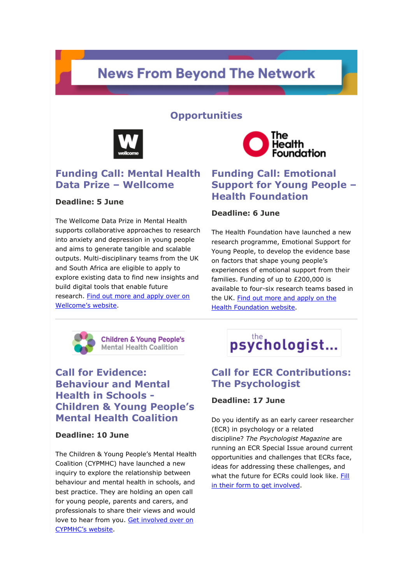# **News From Beyond The Network**

# **Opportunities**



# **Funding Call: Mental Health Data Prize – Wellcome**

#### **Deadline: 5 June**

The Wellcome Data Prize in Mental Health supports collaborative approaches to research into anxiety and depression in young people and aims to generate tangible and scalable outputs. Multi-disciplinary teams from the UK and South Africa are eligible to apply to explore existing data to find new insights and build digital tools that enable future research. [Find out more and apply over on](http://medsci.msgfocus.com/c/13rIjyCQdIWCDaCGRteRP0Wzt)  [Wellcome's website](http://medsci.msgfocus.com/c/13rIjyCQdIWCDaCGRteRP0Wzt).



# **Funding Call: Emotional Support for Young People – Health Foundation**

#### **Deadline: 6 June**

The Health Foundation have launched a new research programme, Emotional Support for Young People, to develop the evidence base on factors that shape young people's experiences of emotional support from their families. Funding of up to £200,000 is available to four-six research teams based in the UK. [Find out more and apply on the](http://medsci.msgfocus.com/c/13rIjV6XNYl7CZeHWlbrCc5FC)  [Health Foundation](http://medsci.msgfocus.com/c/13rIjV6XNYl7CZeHWlbrCc5FC) website.



**Children & Young People's Mental Health Coalition** 

# **Call for Evidence: Behaviour and Mental Health in Schools - Children & Young People's Mental Health Coalition**

#### **Deadline: 10 June**

The Children & Young People's Mental Health Coalition (CYPMHC) have launched a new inquiry to explore the relationship between behaviour and mental health in schools, and best practice. They are holding an open call for young people, parents and carers, and professionals to share their views and would love to hear from you. [Get involved over on](http://medsci.msgfocus.com/c/13rIkhB5odJCCNQJ1d81pneLL)  [CYPMHC's website](http://medsci.msgfocus.com/c/13rIkhB5odJCCNQJ1d81pneLL).

# psychologist...

# **Call for ECR Contributions: The Psychologist**

#### **Deadline: 17 June**

Do you identify as an early career researcher (ECR) in psychology or a related discipline? *The Psychologist Magazine* are running an ECR Special Issue around current opportunities and challenges that ECRs face, ideas for addressing these challenges, and what the future for ECRs could look like. [Fill](http://medsci.msgfocus.com/c/13rIkE5cYt87CCsK654BcynRU)  [in their form to get involved.](http://medsci.msgfocus.com/c/13rIkE5cYt87CCsK654BcynRU)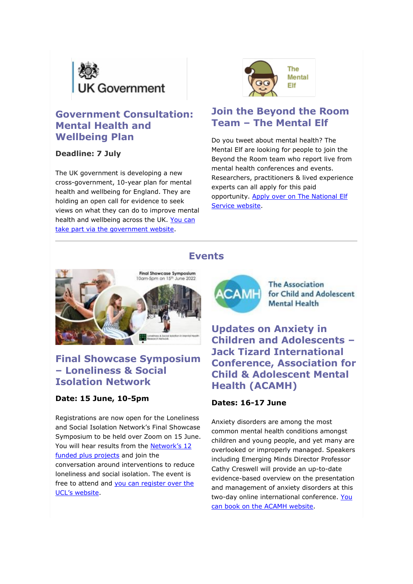

# **Government Consultation: Mental Health and Wellbeing Plan**

# **Deadline: 7 July**

The UK government is developing a new cross-government, 10-year plan for mental health and wellbeing for England. They are holding an open call for evidence to seek views on what they can do to improve mental health and wellbeing across the UK. [You can](http://medsci.msgfocus.com/c/13rIl0zkyIwCCr4LaX1aZJwY3)  [take part via the government website.](http://medsci.msgfocus.com/c/13rIl0zkyIwCCr4LaX1aZJwY3)



# **Join the Beyond the Room Team – The Mental Elf**

Do you tweet about mental health? The Mental Elf are looking for people to join the Beyond the Room team who report live from mental health conferences and events. Researchers, practitioners & lived experience experts can all apply for this paid opportunity. [Apply over on The National Elf](http://medsci.msgfocus.com/c/13rIln3s8XV7CfGMfOXKMUG4c)  [Service website.](http://medsci.msgfocus.com/c/13rIln3s8XV7CfGMfOXKMUG4c)





# **Final Showcase Symposium – Loneliness & Social Isolation Network**

#### **Date: 15 June, 10-5pm**

Registrations are now open for the Loneliness and Social Isolation Network's Final Showcase Symposium to be held over Zoom on 15 June. You will hear results from the [Network's 12](http://medsci.msgfocus.com/c/13rIlJxzJdjCC4iNkGUkA5Pal)  [funded plus projects](http://medsci.msgfocus.com/c/13rIlJxzJdjCC4iNkGUkA5Pal) and join the conversation around interventions to reduce loneliness and social isolation. The event is free to attend and [you can register over the](http://medsci.msgfocus.com/c/13rImsvOTI6CBHwPuqNuas7mD)  [UCL's website](http://medsci.msgfocus.com/c/13rImsvOTI6CBHwPuqNuas7mD).



**The Association** for Child and Adolescent **Mental Health** 

**Updates on Anxiety in Children and Adolescents – Jack Tizard International Conference, Association for Child & Adolescent Mental Health (ACAMH)**

#### **Dates: 16-17 June**

Anxiety disorders are among the most common mental health conditions amongst children and young people, and yet many are overlooked or improperly managed. Speakers including Emerging Minds Director Professor Cathy Creswell will provide an up-to-date evidence-based overview on the presentation and management of anxiety disorders at this two-day online international conference. You [can book on the ACAMH website.](http://medsci.msgfocus.com/c/13rImOZWtXv7Bw8QziK3XDgsM)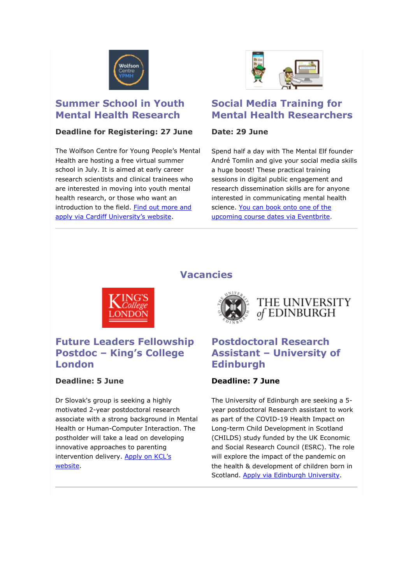

# **Summer School in Youth Mental Health Research**

#### **Deadline for Registering: 27 June**

The Wolfson Centre for Young People's Mental Health are hosting a free virtual summer school in July. It is aimed at early career research scientists and clinical trainees who are interested in moving into youth mental health research, or those who want an introduction to the field. [Find out more and](http://medsci.msgfocus.com/c/13rInbu44cTCBkKREaGDKOpyV)  [apply via Cardiff University's website](http://medsci.msgfocus.com/c/13rInbu44cTCBkKREaGDKOpyV).

# **Social Media Training for Mental Health Researchers**

# **Date: 29 June**

Spend half a day with The Mental Elf founder André Tomlin and give your social media skills a huge boost! These practical training sessions in digital public engagement and research dissemination skills are for anyone interested in communicating mental health science. You can book onto one of the [upcoming course dates via Eventbrite.](http://medsci.msgfocus.com/c/13rInxYbEsi7B9mSJ2DdxZyF4)



# **Future Leaders Fellowship Postdoc – King's College London**

# **Deadline: 5 June**

Dr Slovak's group is seeking a highly motivated 2-year postdoctoral research associate with a strong background in Mental Health or Human-Computer Interaction. The postholder will take a lead on developing innovative approaches to parenting intervention delivery. Apply on KCL's [website.](http://medsci.msgfocus.com/c/13rInUsjeHGCAXYTNUzNlaHLd)

# **Vacancies**



# THE UNIVERSITY of EDINBURGH

# **Postdoctoral Research Assistant – University of Edinburgh**

# **Deadline: 7 June**

The University of Edinburgh are seeking a 5 year postdoctoral Research assistant to work as part of the COVID-19 Health Impact on Long-term Child Development in Scotland (CHILDS) study funded by the UK Economic and Social Research Council (ESRC). The role will explore the impact of the pandemic on the health & development of children born in Scotland. [Apply via Edinburgh University.](http://medsci.msgfocus.com/c/13rIogWqOX57AMAUSMwn8lQRm)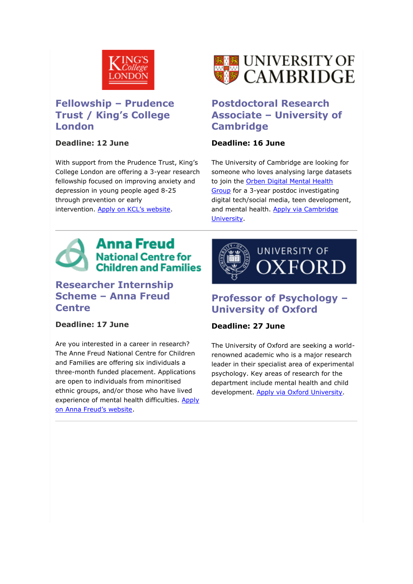

# **Fellowship – Prudence Trust / King's College London**

#### **Deadline: 12 June**

With support from the Prudence Trust, King's College London are offering a 3-year research fellowship focused on improving anxiety and depression in young people aged 8-25 through prevention or early intervention. [Apply on KCL's website](http://medsci.msgfocus.com/c/13rIoDqypctCABcVXEsWVwZXv).



# **Postdoctoral Research Associate – University of Cambridge**

#### **Deadline: 16 June**

The University of Cambridge are looking for someone who loves analysing large datasets to join the [Orben Digital Mental Health](http://medsci.msgfocus.com/c/13rIoZUFZrS7ApOX2wpwII93E)  [Group](http://medsci.msgfocus.com/c/13rIoZUFZrS7ApOX2wpwII93E) for a 3-year postdoc investigating digital tech/social media, teen development, and mental health. Apply via Cambridge [University.](http://medsci.msgfocus.com/c/13rIpmoNzHgCAeqY7om6vTi9N)



# **Researcher Internship Scheme – Anna Freud Centre**

# **Deadline: 17 June**

Are you interested in a career in research? The Anne Freud National Centre for Children and Families are offering six individuals a three-month funded placement. Applications are open to individuals from minoritised ethnic groups, and/or those who have lived experience of mental health difficulties. [Apply](http://medsci.msgfocus.com/c/13rIpISV9WF7A32ZcgiGj4rfW)  [on Anna Freud's website](http://medsci.msgfocus.com/c/13rIpISV9WF7A32ZcgiGj4rfW).



# **Professor of Psychology – University of Oxford**

# **Deadline: 27 June**

The University of Oxford are seeking a worldrenowned academic who is a major research leader in their specialist area of experimental psychology. Key areas of research for the department include mental health and child development. [Apply via Oxford University.](http://medsci.msgfocus.com/c/13rIqrRakrs7zGh1m0bPTqJse)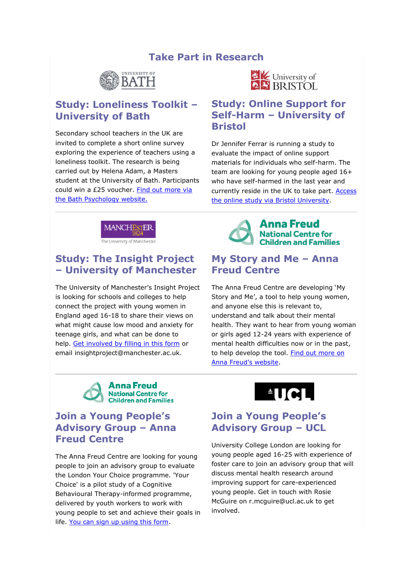# **Take Part in Research**



# **Study: Loneliness Toolkit – University of Bath**

Secondary school teachers in the UK are invited to complete a short online survey exploring the experience of teachers using a loneliness toolkit. The research is being carried out by Helena Adam, a Masters student at the University of Bath. Participants could win a £25 voucher. [Find out more via](http://medsci.msgfocus.com/c/13rIqOlhUGQCzuT2qS8pGBSyn)  [the Bath Psychology website.](http://medsci.msgfocus.com/c/13rIqOlhUGQCzuT2qS8pGBSyn)



The University of Manchester

# **Study: The Insight Project – University of Manchester**

The University of Manchester's Insight Project is looking for schools and colleges to help connect the project with young women in England aged 16-18 to share their views on what might cause low mood and anxiety for teenage girls, and what can be done to help. [Get involved by filling in this form](http://medsci.msgfocus.com/c/13rIrxjx5bDCz874AC1zgYaKF) or email insightproject@manchester.ac.uk.



# **Join a Young People's Advisory Group – Anna Freud Centre**

The Anna Freud Centre are looking for young people to join an advisory group to evaluate the London Your Choice programme. 'Your Choice' is a pilot study of a Cognitive Behavioural Therapy-informed programme, delivered by youth workers to work with young people to set and achieve their goals in life. [You can sign up using this form.](http://medsci.msgfocus.com/c/13rIsghMfGqCyLl6KlUIRksWX)



# **Study: Online Support for Self-Harm – University of Bristol**

Dr Jennifer Ferrar is running a study to evaluate the impact of online support materials for individuals who self-harm. The team are looking for young people aged 16+ who have self-harmed in the last year and currently reside in the UK to take part. [Access](http://medsci.msgfocus.com/c/13rIraPpuWf7zjv3vK4ZtN1Ew)  [the online study via Bristol University.](http://medsci.msgfocus.com/c/13rIraPpuWf7zjv3vK4ZtN1Ew)



# **My Story and Me – Anna Freud Centre**

The Anna Freud Centre are developing 'My Story and Me', a tool to help young women, and anyone else this is relevant to, understand and talk about their mental health. They want to hear from young woman or girls aged 12-24 years with experience of mental health difficulties now or in the past, to help develop the tool. Find out more on [Anna Freud's website](http://medsci.msgfocus.com/c/13rIrTNEFr27yWJ5FtY949jQO).



# **Join a Young People's Advisory Group – UCL**

University College London are looking for young people aged 16-25 with experience of foster care to join an advisory group that will discuss mental health research around improving support for care-experienced young people. Get in touch with Rosie McGuire on r.mcguire@ucl.ac.uk to get involved.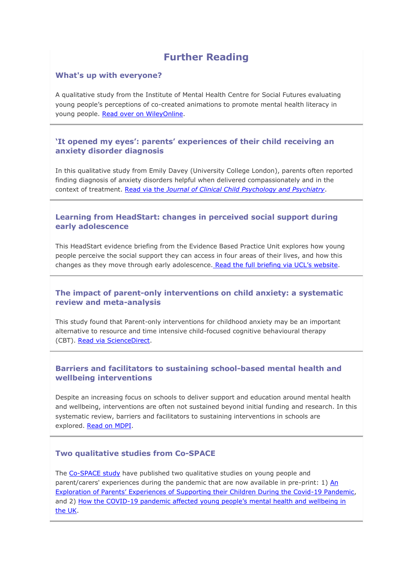# **Further Reading**

#### **What's up with everyone?**

A qualitative study from the Institute of Mental Health Centre for Social Futures evaluating young people's perceptions of co-created animations to promote mental health literacy in young people. [Read over on WileyOnline.](http://medsci.msgfocus.com/c/13rIsCLTPVP7yzX7PdRiEvC36)

#### **'It opened my eyes': parents' experiences of their child receiving an anxiety disorder diagnosis**

In this qualitative study from Emily Davey (University College London), parents often reported finding diagnosis of anxiety disorders helpful when delivered compassionately and in the context of treatment. Read via the *[Journal of Clinical Child Psychology and Psychiatry](http://medsci.msgfocus.com/c/13rIsZg1qbdCyoz8U5NSrGL9f)*.

#### **Learning from HeadStart: changes in perceived social support during early adolescence**

This HeadStart evidence briefing from the Evidence Based Practice Unit explores how young people perceive the social support they can access in four areas of their lives, and how this changes as they move through early adolescence. [Read the full briefing via UCL's website](http://medsci.msgfocus.com/c/13rItlK90qC7ydb9YXKseRUfo).

#### **The impact of parent-only interventions on child anxiety: a systematic review and meta-analysis**

This study found that Parent-only interventions for childhood anxiety may be an important alternative to resource and time intensive child-focused cognitive behavioural therapy (CBT). [Read via ScienceDirect.](http://medsci.msgfocus.com/c/13rItIegAG0Cy1Nb3PH2233lx)

#### **Barriers and facilitators to sustaining school-based mental health and wellbeing interventions**

Despite an increasing focus on schools to deliver support and education around mental health and wellbeing, interventions are often not sustained beyond initial funding and research. In this systematic review, barriers and facilitators to sustaining interventions in schools are explored. [Read on MDPI.](http://medsci.msgfocus.com/c/13rIurcvLaNCxF1ddzAbCplxP)

#### **Two qualitative studies from Co-SPACE**

The [Co-SPACE study](http://medsci.msgfocus.com/c/13rIuNGDlqc7xtDeirwLpAuDY) have published two qualitative studies on young people and parent/carers' experiences during the pandemic that are now available in pre-print: 1) [An](http://medsci.msgfocus.com/c/13rIvaaKVFACxiffnjtlcLDK7)  [Exploration of Parents' Experiences of Supporting their Children During the Covid](http://medsci.msgfocus.com/c/13rIvaaKVFACxiffnjtlcLDK7)-19 Pandemic, and 2) How the COVID-19 pandemic affected [young people's mental health and wellbeing in](http://medsci.msgfocus.com/c/13rIvwESvUZ7x6RgsbpUZWMQg)  [the UK.](http://medsci.msgfocus.com/c/13rIvwESvUZ7x6RgsbpUZWMQg)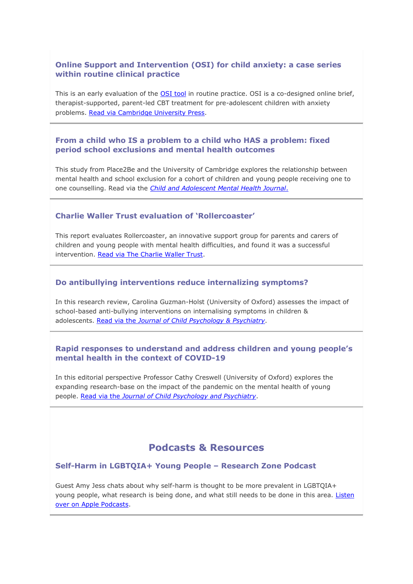#### **Online Support and Intervention (OSI) for child anxiety: a case series within routine clinical practice**

This is an early evaluation of the **[OSI tool](http://medsci.msgfocus.com/c/13rIvT906anCwVthx3muN7VWp)** in routine practice. OSI is a co-designed online brief, therapist-supported, parent-led CBT treatment for pre-adolescent children with anxiety problems. [Read via Cambridge University Press.](http://medsci.msgfocus.com/c/13rIwfD7GpM7wK5iBVj4Aj52y)

#### **From a child who IS a problem to a child who HAS a problem: fixed period school exclusions and mental health outcomes**

This study from Place2Be and the University of Cambridge explores the relationship between mental health and school exclusion for a cohort of children and young people receiving one to one counselling. Read via the *[Child and Adolescent Mental Health Journal](http://medsci.msgfocus.com/c/13rIwC7fgFaCwyHjGNfEnue8H)*.

#### **Charlie Waller Trust evaluation of 'Rollercoaster'**

This report evaluates Rollercoaster, an innovative support group for parents and carers of children and young people with mental health difficulties, and found it was a successful intervention. [Read via The Charlie Waller Trust.](http://medsci.msgfocus.com/c/13rIwYBmQUz7wnjkLFceaFneQ)

#### **Do antibullying interventions reduce internalizing symptoms?**

In this research review, Carolina Guzman-Holst (University of Oxford) assesses the impact of school-based anti-bullying interventions on internalising symptoms in children & adolescents. Read via the *[Journal of Child Psychology & Psychiatry](http://medsci.msgfocus.com/c/13rIxl5ur9XCwbVlQx8NXQwkZ)*.

#### **Rapid responses to understand and address children and young people's mental health in the context of COVID-19**

In this editorial perspective Professor Cathy Creswell (University of Oxford) explores the expanding research-base on the impact of the pandemic on the mental health of young people. Read via the *[Journal of Child Psychology and Psychiatry](http://medsci.msgfocus.com/c/13rIxHzC1pm7w0xmVp5nL1Fr8)*.

# **Podcasts & Resources**

#### **Self-Harm in LGBTQIA+ Young People – Research Zone Podcast**

Guest Amy Jess chats about why self-harm is thought to be more prevalent in LGBTQIA+ young people, what research is being done, and what still needs to be done in this area. Listen [over on Apple Podcasts.](http://medsci.msgfocus.com/c/13rIyqxRbU97vDLp58YxlnXDq)